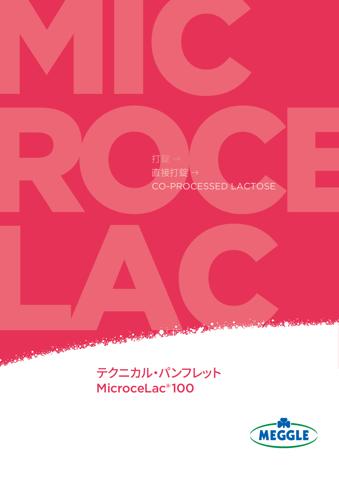ROCHER DE LACTOSE 打錠 → 直接打錠 → CO-PROCESSED LACTOSE

## テクニカル・パンフレット MicroceLac® 100

LACCER COMMENCER

MIC

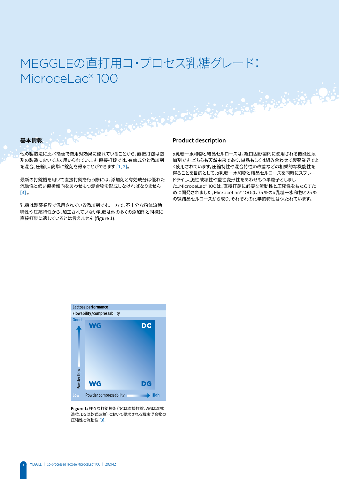# MEGGLEの直打用コ・プロセス乳糖グレード: MicroceLac® 100

#### 基本情報

他の製造法に比べ簡便で費用対効果に優れていることから、直接打錠は錠 剤の製造において広く用いられています。直接打錠では、有効成分と添加剤 を混合、圧縮し、簡単に錠剤を得ることができます [1, 2]。

最新の打錠機を用いて直接打錠を行う際には、添加剤と有効成分は優れた 流動性と低い偏析傾向をあわせもつ混合物を形成しなければなりません [3] 。

乳糖は製薬業界で汎用されている添加剤です。一方で、不十分な粉体流動 特性や圧縮特性から、加工されていない乳糖は他の多くの添加剤と同様に 直接打錠に適しているとは言えません (figure 1).

#### Product description

α乳糖一水和物と結晶セルロースは、経口固形製剤に使用される機能性添 加剤です。どちらも天然由来であり、単品もしくは組み合わせて製薬業界でよ く使用されています。圧縮特性や混合特性の改善などの相乗的な機能性を 得ることを目的として、α乳糖一水和物と結晶セルロースを同時にスプレー ドライし、脆性破壊性や塑性変形性をあわせもつ単粒子としまし た。MicroceLac® 100は、直接打錠に必要な流動性と圧縮性をもたらすた めに開発されました。MicroceLac® 100は、75 %のα乳糖一水和物と25 % の微結晶セルロースから成り、それぞれの化学的特性は保たれています。



**Figure 1:** 様々な打錠技術(DCは直接打錠、WGは湿式 造粒、DGは乾式造粒)において要求される粉末混合物の 圧縮性と流動性 [3].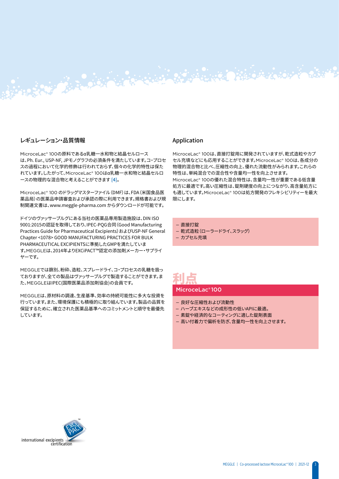#### レギュレーション・品質情報

MicroceLac® 100の原料であるα乳糖一水和物と結晶セルロース は、Ph. Eur., USP-NF, JPモノグラフの必須条件を満たしています。コ・プロセ スの過程において化学的修飾は行われておらず、個々の化学的特性は保た れています。したがって、MicroceLac® 100はα乳糖一水和物と結晶セルロ ースの物理的な混合物と考えることができます [4]。

MicroceLac® 100 のドラッグマスターファイル(DMF)は、FDA(米国食品医 薬品局)の医薬品申請審査および承認の際に利用できます。規格書および規 制関連文書は、www.meggle-pharma.com からダウンロードが可能です。

ドイツのヴァッサーブルグにある当社の医薬品専用製造施設は、DIN ISO 9001:2015の認証を取得しており、IPEC-PQG合同(Good Manufacturing Practices Guide for Pharmaceutical Excipients)およびUSP-NF General Chapter <1078> GOOD MANUFACTURING PRACTICES FOR BULK PHARMACEUTICAL EXCIPIENTSに準拠したGMPを満たしていま す。MEGGLEは、2014年よりEXCiPACT™認定の添加剤メーカー・サプライ ヤーです。

MEGGLEでは篩別、粉砕、造粒、スプレードライ、コ・プロセスの乳糖を扱っ ておりますが、全ての製品はヴァッサーブルグで製造することができます。ま た、MEGGLEはIPEC(国際医薬品添加剤協会)の会員です。

MEGGLEは、原材料の調達、生産基準、効率の持続可能性に多大な投資を 行っています。また、環境保護にも積極的に取り組んでいます。製品の品質を 保証するために、確立された医薬品基準へのコミットメントと順守を最優先 しています。

#### Application

Simply of the Court of the Court of the Court of the Court

MicroceLac® 100は、直接打錠用に開発されていますが、乾式造粒やカプ セル充填などにも応用することができます。MicroceLac® 100は、各成分の 物理的混合物と比べ、圧縮性の向上、優れた流動性がみられます。これらの 特性は、単純混合での混合性や含量均一性を向上させます。 MicroceLac® 100の優れた混合特性は、含量均一性が重要である低含量 処方に最適です。高い圧縮性は、錠剤硬度の向上につながり、高含量処方に も適しています。MicroceLac® 100は処方開発のフレキシビリティーを最大 限にします。

— 直接打錠 — 乾式造粒(ローラードライ、スラッグ)

— カプセル充填



#### MicroceLac® 100

- 良好な圧縮性および流動性
- ハーブエキスなどの成形性の低いAPIに最適。
- 素錠や経済的なコーティングに適した錠剤表面
- 高い付着力で偏析を防ぎ、含量均一性を向上させます。



3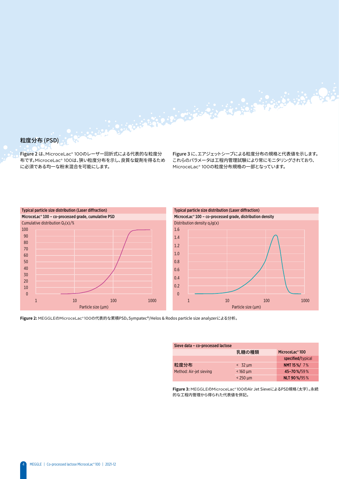#### 粒度分布 (PSD)

Figure 2 は、MicroceLac® 100のレーザー回折式による代表的な粒度分 布です。MicroceLac® 100は、狭い粒度分布を示し、良質な錠剤を得るため に必須である均一な粉末混合を可能にします。

Figure 3 に、エアジェットシーブによる粒度分布の規格と代表値を示します。 これらのパラメータは工程内管理試験により常にモニタリングされており、 MicroceLac® 100の粒度分布規格の一部となっています。

Andrew States States States States States States





**Figure 2:** MEGGLEのMicroceLac® 100の代表的な累積PSD。Sympatec®/Helos & Rodos particle size analyzerによる分析。

| Sieve data - co-processed lactose |                   |                             |  |
|-----------------------------------|-------------------|-----------------------------|--|
|                                   | 乳糖の種類             | MicroceLac <sup>®</sup> 100 |  |
|                                   |                   | specified/typical           |  |
| 粒度分布                              | $< 32 \text{ nm}$ | NMT 15%/7%                  |  |
| Method: Air-jet sieving           | $<$ 160 $\mu$ m   | 45-70%/59%                  |  |
|                                   | $<$ 250 $\mu$ m   | NLT 90%/95%                 |  |

**Figure 3:** MEGGLEのMicroceLac® 100のAir Jet SieveによるPSD規格(太字)。永続 的な工程内管理から得られた代表値を併記。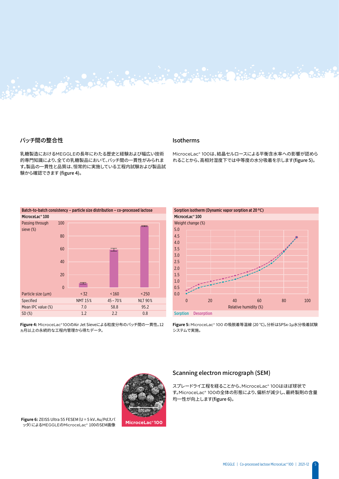#### バッチ間の整合性

乳糖製造におけるMEGGLEの長年にわたる歴史と経験および幅広い技術 的専門知識により、全ての乳糖製品において、バッチ間の一貫性がみられま す。製品の一貫性と品質は、恒常的に実施している工程内試験および製品試 験から確認できます (figure 4)。

Singer British Start



*Data obtained from a permanent in-process-control (IPC) of subsequent batches over a*  **Figure 4:** MicroceLac® 100のAir Jet Sieveによる粒度分布のパッチ間の一貫性。12 *time period of 12 months.* ヵ月以上の永続的な工程内管理から得たデータ。

#### Isotherms

MicroceLac® 100は、結晶セルロースによる平衡含水率への影響が認めら れることから、高相対湿度下では中等度の水分吸着を示します(figure 5)。



**Figure 5:** MicroceLac® 100 の吸脱着等温線 (20 ℃)。分析はSPSx-1µ水分吸着試験 システムで実施。



#### Scanning electron micrograph (SEM)

スプレードライ工程を経ることから、MicroceLac® 100はほぼ球状で す。MicroceLac® 100の全体の形態により、偏析が減少し、最終製剤の含量 均一性が向上します(figure 6)。

**Figure 6:** ZEISS Ultra 55 FESEM(U = 5 kV、Au/Pdスパ ッタ)によるMEGGLEのMicroceLac® 100のSEM画像

5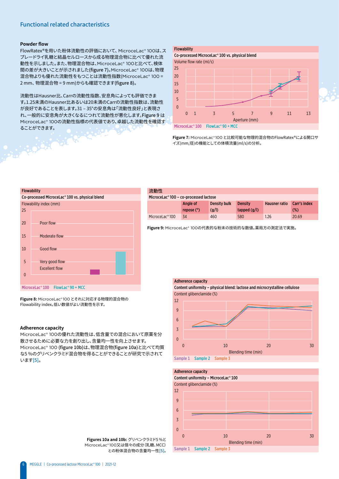#### Functional related characteristics

#### **Powder flow**

FlowRatex®を用いた粉体流動性の評価において、 MicroceLac® 100は、ス プレードライ乳糖と結晶セルロースから成る物理混合物に比べて優れた流 動性を示しました。また、物理混合物は、MicroceLac® 100と比べて、検体 間の差が大きいことが示されました(figure 7)。MicroceLac® 100は、物理 混合物よりも優れた流動性をもつことは流動性指数(MicroceLac® 100 = 2 mm、 物理混合物 = 9 mm)からも確認できます(figure 8)。

流動性はHausner比、Carrの流動性指数、安息角によっても評価できま す。1.25未満のHausner比あるいは20未満のCarrの流動性指数は、流動性 が良好であることを表します。31 – 35°の安息角は「流動性良好」と表現さ れ、一般的に安息角が大きくなるにつれて流動性が悪化します。Figure 9 は MicroceLac® 100の流動性指標の代表値であり、卓越した流動性を確認す ることができます。

#### Flowability



MicroceLac® 100 FlowLac® 90 + MCC

**Figure 7:** MicroceLac® 100 と比較可能な物理的混合物のFlowRatex®による開口サ イズ(mm,径)の機能としての体積流量(ml/s)の分析。

### Flowability Co-processed MicroceLac® 100 vs. physical blend Flowability index (mm) 25 20 Poor flow 15 Moderate flow 10 Good flow 5 Very good flow Excellent flow  $\overline{0}$ MicroceLac® 100 FlowLac® 90 + MCC

**Figure 8:** MicroceLac® 100 とそれに対応する物理的混合物の Flowability index。低い数値がよい流動性を示す。

#### **Adherence capacity**

MicroceLac® 100の優れた流動性は、低含量での混合において原薬を分 散させるために必要な力を創り出し、含量均一性を向上させます。 MicroceLac® 100 (figure 10b)は、物理混合物(figure 10a)と比べて均質 な5 %のグリベンクラミド混合物を得ることができることが研究で示されて います[5]。

#### 流動性 MicroceLac® 100 – co-processed lactose Angle of repose (°) Density bulk (g/l) **Density** tapped (g/l) Hausner ratio Carr's index (%) MicroceLac®100 34 460 580 1.26 20.69

**Figure 9:** MicroceLac® 100の代表的な粉末の技術的な数値。薬局方の測定法で実施。



#### Adherence capacity



**Figures 10a and 10b:** グリベンクラミド5 %と MicroceLac® 100又は個々の成分(乳糖、MCC) との粉体混合物の含量均一性[5]。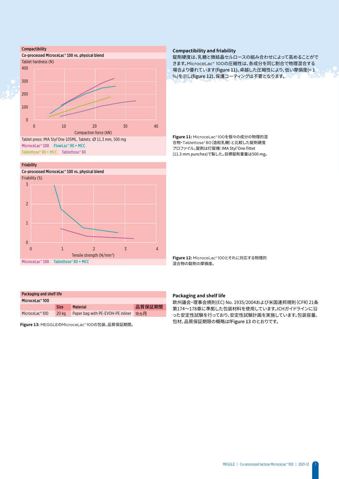

#### Friability



#### Packaging and shelf life MicroceLac® 100 Size Material 高質保証期間 MicroceLac®100 20 kg Paper bag with PE-EVOH-PE inliner 18ヵ月

**Figure 13:** MEGGLEのMicroceLac® 100の包装、品質保証期間。

#### **Compactibility and friability**

錠剤硬度は、乳糖と微結晶セルロースの組み合わせによって高めることがで きます。MicroceLac® 100の圧縮性は、各成分を同じ割合で物理混合する 場合より優れています(figure 11)。卓越した圧縮性により、低い摩損度(< 1 %)を示し(figure 12)、保護コーティングは不要となります。

**Figure 11:** MicroceLac® 100を個々の成分の物理的混 合物・Tablettose® 80(造粒乳糖)と比較した錠剤硬度 プロファイル。錠剤は打錠機:IMA Styl'One fittet (11.3 mm punches)で製した。目標錠剤重量は500 mg。

**Figure 12:** MicroceLac® 100とそれに対応する物理的 混合物の錠剤の摩損度。

#### **Packaging and shelf life**

欧州議会・理事会規則(EC) No. 1935/2004および米国連邦規則(CFR)21条 第174~178章に準拠した包装材料を使用しています。ICHガイドラインに沿 った安定性試験を行っており、安定性試験計画を実施しています。包装容量、 包材、品質保証期限の概略はfFigure 13 のとおりです。

7